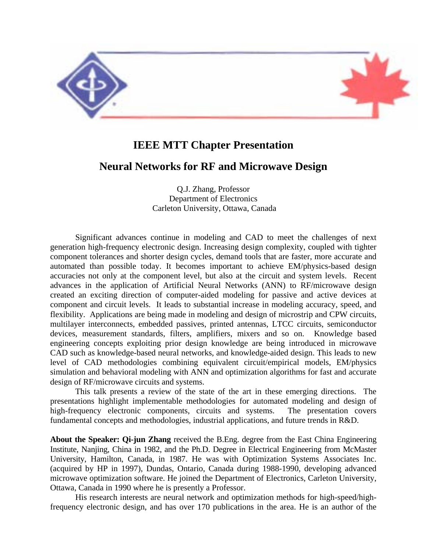

## **IEEE MTT Chapter Presentation**

## **Neural Networks for RF and Microwave Design**

Q.J. Zhang, Professor Department of Electronics Carleton University, Ottawa, Canada

Significant advances continue in modeling and CAD to meet the challenges of next generation high-frequency electronic design. Increasing design complexity, coupled with tighter component tolerances and shorter design cycles, demand tools that are faster, more accurate and automated than possible today. It becomes important to achieve EM/physics-based design accuracies not only at the component level, but also at the circuit and system levels. Recent advances in the application of Artificial Neural Networks (ANN) to RF/microwave design created an exciting direction of computer-aided modeling for passive and active devices at component and circuit levels. It leads to substantial increase in modeling accuracy, speed, and flexibility. Applications are being made in modeling and design of microstrip and CPW circuits, multilayer interconnects, embedded passives, printed antennas, LTCC circuits, semiconductor devices, measurement standards, filters, amplifiers, mixers and so on. Knowledge based engineering concepts exploiting prior design knowledge are being introduced in microwave CAD such as knowledge-based neural networks, and knowledge-aided design. This leads to new level of CAD methodologies combining equivalent circuit/empirical models, EM/physics simulation and behavioral modeling with ANN and optimization algorithms for fast and accurate design of RF/microwave circuits and systems.

This talk presents a review of the state of the art in these emerging directions. The presentations highlight implementable methodologies for automated modeling and design of high-frequency electronic components, circuits and systems. The presentation covers fundamental concepts and methodologies, industrial applications, and future trends in R&D.

**About the Speaker: Qi-jun Zhang** received the B.Eng. degree from the East China Engineering Institute, Nanjing, China in 1982, and the Ph.D. Degree in Electrical Engineering from McMaster University, Hamilton, Canada, in 1987. He was with Optimization Systems Associates Inc. (acquired by HP in 1997), Dundas, Ontario, Canada during 1988-1990, developing advanced microwave optimization software. He joined the Department of Electronics, Carleton University, Ottawa, Canada in 1990 where he is presently a Professor.

His research interests are neural network and optimization methods for high-speed/highfrequency electronic design, and has over 170 publications in the area. He is an author of the